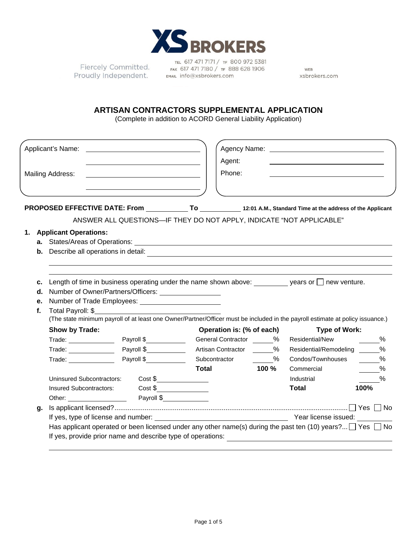

Fiercely Committed. Proudly Independent.

TEL 617 471 7171 / TF 800 972 5381 FAX 617 471 7180 / TF 888 628 1906 EMAIL info@xsbrokers.com

WEB xsbrokers.com

## **ARTISAN CONTRACTORS SUPPLEMENTAL APPLICATION**

(Complete in addition to ACORD General Liability Application)

|                                                          |                                                                                                                                | Applicant's Name:                                                                                                                                                                                                              |            | Agent:                                                               |         | Agency Name: Name: Name and Agency Name: Name and Agency Name and Agency Name and Agency Name and Agency Name and Agency Name and Agency Name and Agency Name and Agency Name and Agency Name and Agency Name and Agency Name |               |  |  |
|----------------------------------------------------------|--------------------------------------------------------------------------------------------------------------------------------|--------------------------------------------------------------------------------------------------------------------------------------------------------------------------------------------------------------------------------|------------|----------------------------------------------------------------------|---------|-------------------------------------------------------------------------------------------------------------------------------------------------------------------------------------------------------------------------------|---------------|--|--|
|                                                          |                                                                                                                                | Mailing Address:                                                                                                                                                                                                               |            | Phone:                                                               |         |                                                                                                                                                                                                                               |               |  |  |
|                                                          |                                                                                                                                | PROPOSED EFFECTIVE DATE: From _____________To ____________12:01 A.M., Standard Time at the address of the Applicant                                                                                                            |            |                                                                      |         |                                                                                                                                                                                                                               |               |  |  |
|                                                          |                                                                                                                                |                                                                                                                                                                                                                                |            | ANSWER ALL QUESTIONS-IF THEY DO NOT APPLY, INDICATE "NOT APPLICABLE" |         |                                                                                                                                                                                                                               |               |  |  |
|                                                          |                                                                                                                                | 1. Applicant Operations:                                                                                                                                                                                                       |            |                                                                      |         |                                                                                                                                                                                                                               |               |  |  |
|                                                          |                                                                                                                                |                                                                                                                                                                                                                                |            |                                                                      |         |                                                                                                                                                                                                                               |               |  |  |
|                                                          |                                                                                                                                | <b>b.</b> Describe all operations in detail:<br><u> 1989 - Andrea Stadt Britain, amerikansk politik (* 1958)</u>                                                                                                               |            |                                                                      |         |                                                                                                                                                                                                                               |               |  |  |
|                                                          |                                                                                                                                |                                                                                                                                                                                                                                |            |                                                                      |         |                                                                                                                                                                                                                               |               |  |  |
|                                                          | c.                                                                                                                             | Length of time in business operating under the name shown above: $\_\_\_\_\_\$ years or $\_\_\$ new venture.                                                                                                                   |            |                                                                      |         |                                                                                                                                                                                                                               |               |  |  |
|                                                          |                                                                                                                                |                                                                                                                                                                                                                                |            |                                                                      |         |                                                                                                                                                                                                                               |               |  |  |
|                                                          |                                                                                                                                |                                                                                                                                                                                                                                |            |                                                                      |         |                                                                                                                                                                                                                               |               |  |  |
|                                                          | $f_{\perp}$                                                                                                                    | Total Payroll: \$                                                                                                                                                                                                              |            |                                                                      |         |                                                                                                                                                                                                                               |               |  |  |
|                                                          | (The state minimum payroll of at least one Owner/Partner/Officer must be included in the payroll estimate at policy issuance.) |                                                                                                                                                                                                                                |            |                                                                      |         |                                                                                                                                                                                                                               |               |  |  |
|                                                          |                                                                                                                                | Show by Trade:                                                                                                                                                                                                                 |            | Operation is: (% of each)                                            |         | <b>Type of Work:</b>                                                                                                                                                                                                          |               |  |  |
|                                                          |                                                                                                                                | Trade: Payroll \$                                                                                                                                                                                                              |            | General Contractor %                                                 |         | Residential/New                                                                                                                                                                                                               | $\%$          |  |  |
|                                                          |                                                                                                                                | $\mathsf{Trade:} \_\_\_\_\_\_\_\_\_\_\_\_\_\_\_\_\_\_\_\_\_\_\_\_\_\_\_\_\_\_\_\_\_\_$                                                                                                                                         | Payroll \$ | Artisan Contractor %                                                 |         | Residential/Remodeling                                                                                                                                                                                                        | $\%$          |  |  |
|                                                          |                                                                                                                                | Trade: The Contract of the Contract of the Contract of the Contract of the Contract of the Contract of the Contract of the Contract of the Contract of the Contract of the Contract of the Contract of the Contract of the Con | Payroll \$ | Subcontractor                                                        | %       | Condos/Townhouses                                                                                                                                                                                                             | %             |  |  |
|                                                          |                                                                                                                                |                                                                                                                                                                                                                                |            | Total                                                                | $100\%$ | Commercial                                                                                                                                                                                                                    | %             |  |  |
|                                                          |                                                                                                                                | Uninsured Subcontractors: Cost \$                                                                                                                                                                                              |            |                                                                      |         | Industrial                                                                                                                                                                                                                    | $\frac{0}{0}$ |  |  |
|                                                          |                                                                                                                                | Insured Subcontractors: Cost \$                                                                                                                                                                                                |            |                                                                      |         | <b>Total</b>                                                                                                                                                                                                                  | 100%          |  |  |
|                                                          |                                                                                                                                |                                                                                                                                                                                                                                |            |                                                                      |         |                                                                                                                                                                                                                               |               |  |  |
|                                                          | g.                                                                                                                             |                                                                                                                                                                                                                                |            |                                                                      |         |                                                                                                                                                                                                                               |               |  |  |
| If yes, type of license and number: Year license issued: |                                                                                                                                |                                                                                                                                                                                                                                |            |                                                                      |         |                                                                                                                                                                                                                               |               |  |  |
|                                                          | Has applicant operated or been licensed under any other name(s) during the past ten (10) years? $\Box$ Yes $\Box$ No           |                                                                                                                                                                                                                                |            |                                                                      |         |                                                                                                                                                                                                                               |               |  |  |
|                                                          |                                                                                                                                | If yes, provide prior name and describe type of operations:                                                                                                                                                                    |            |                                                                      |         |                                                                                                                                                                                                                               |               |  |  |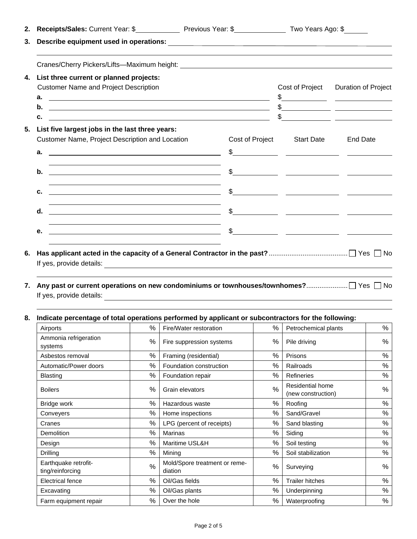| List three current or planned projects:<br>4.<br><b>Customer Name and Project Description</b>                                                                                                                                      |      |                                                                |  | Cost of Project                                                                                                                                                                                                                                                                                                                                                                                                                         | <b>Duration of Project</b>                                                                                                                                                                                                                                                                                          |  |      |
|------------------------------------------------------------------------------------------------------------------------------------------------------------------------------------------------------------------------------------|------|----------------------------------------------------------------|--|-----------------------------------------------------------------------------------------------------------------------------------------------------------------------------------------------------------------------------------------------------------------------------------------------------------------------------------------------------------------------------------------------------------------------------------------|---------------------------------------------------------------------------------------------------------------------------------------------------------------------------------------------------------------------------------------------------------------------------------------------------------------------|--|------|
|                                                                                                                                                                                                                                    |      |                                                                |  |                                                                                                                                                                                                                                                                                                                                                                                                                                         | $\frac{1}{2}$                                                                                                                                                                                                                                                                                                       |  |      |
|                                                                                                                                                                                                                                    |      |                                                                |  |                                                                                                                                                                                                                                                                                                                                                                                                                                         | $\frac{1}{2}$ $\frac{1}{2}$ $\frac{1}{2}$ $\frac{1}{2}$ $\frac{1}{2}$ $\frac{1}{2}$ $\frac{1}{2}$ $\frac{1}{2}$ $\frac{1}{2}$ $\frac{1}{2}$ $\frac{1}{2}$ $\frac{1}{2}$ $\frac{1}{2}$ $\frac{1}{2}$ $\frac{1}{2}$ $\frac{1}{2}$ $\frac{1}{2}$ $\frac{1}{2}$ $\frac{1}{2}$ $\frac{1}{2}$ $\frac{1}{2}$ $\frac{1}{2}$ |  |      |
| c.<br><u> 1999 - Johann Barbara, marka a shekara ta 1999 - Anna a tsarann an tsarann an tsarann an tsarann an tsarann a</u>                                                                                                        |      |                                                                |  |                                                                                                                                                                                                                                                                                                                                                                                                                                         | $\frac{1}{2}$ $\frac{1}{2}$ $\frac{1}{2}$ $\frac{1}{2}$ $\frac{1}{2}$ $\frac{1}{2}$ $\frac{1}{2}$ $\frac{1}{2}$ $\frac{1}{2}$ $\frac{1}{2}$ $\frac{1}{2}$ $\frac{1}{2}$ $\frac{1}{2}$ $\frac{1}{2}$ $\frac{1}{2}$ $\frac{1}{2}$ $\frac{1}{2}$ $\frac{1}{2}$ $\frac{1}{2}$ $\frac{1}{2}$ $\frac{1}{2}$ $\frac{1}{2}$ |  |      |
| List five largest jobs in the last three years:<br>Customer Name, Project Description and Location<br>а.<br><u> Andreas Andreas Andreas Andreas Andreas Andreas Andreas Andreas Andreas Andreas Andreas Andreas Andreas Andr</u>   |      | Cost of Project                                                |  | <b>Start Date</b><br>$\frac{1}{\sqrt{1-\frac{1}{2}}}\frac{1}{\sqrt{1-\frac{1}{2}}\sqrt{1-\frac{1}{2}}\sqrt{1-\frac{1}{2}}\sqrt{1-\frac{1}{2}}\sqrt{1-\frac{1}{2}}\sqrt{1-\frac{1}{2}}\sqrt{1-\frac{1}{2}}\sqrt{1-\frac{1}{2}}\sqrt{1-\frac{1}{2}}\sqrt{1-\frac{1}{2}}\sqrt{1-\frac{1}{2}}\sqrt{1-\frac{1}{2}}\sqrt{1-\frac{1}{2}}\sqrt{1-\frac{1}{2}}\sqrt{1-\frac{1}{2}}\sqrt{1-\frac{1}{2}}\sqrt{1-\frac{1}{2}}\sqrt{1-\frac{1}{2}}\$ | <b>End Date</b>                                                                                                                                                                                                                                                                                                     |  |      |
|                                                                                                                                                                                                                                    |      |                                                                |  |                                                                                                                                                                                                                                                                                                                                                                                                                                         |                                                                                                                                                                                                                                                                                                                     |  |      |
| <u> 1989 - Johann Stein, maritan amerikan basar da</u><br>b.<br><u> 1989 - Johann Stoff, amerikansk politiker (* 1908)</u>                                                                                                         |      |                                                                |  |                                                                                                                                                                                                                                                                                                                                                                                                                                         | $\frac{1}{2}$ $\frac{1}{2}$ $\frac{1}{2}$ $\frac{1}{2}$ $\frac{1}{2}$ $\frac{1}{2}$ $\frac{1}{2}$ $\frac{1}{2}$ $\frac{1}{2}$ $\frac{1}{2}$ $\frac{1}{2}$ $\frac{1}{2}$ $\frac{1}{2}$ $\frac{1}{2}$ $\frac{1}{2}$ $\frac{1}{2}$ $\frac{1}{2}$ $\frac{1}{2}$ $\frac{1}{2}$ $\frac{1}{2}$ $\frac{1}{2}$ $\frac{1}{2}$ |  |      |
| c.<br><u> 1980 - Johann Barnett, fransk politik (d. 1980)</u>                                                                                                                                                                      |      |                                                                |  |                                                                                                                                                                                                                                                                                                                                                                                                                                         | $\frac{1}{2}$                                                                                                                                                                                                                                                                                                       |  |      |
| <u> 1980 - Johann Barn, fransk politik fotograf (d. 1980)</u><br>d.                                                                                                                                                                |      |                                                                |  |                                                                                                                                                                                                                                                                                                                                                                                                                                         | $\frac{1}{2}$                                                                                                                                                                                                                                                                                                       |  |      |
| е.                                                                                                                                                                                                                                 |      | <u> 1989 - Andrea Barbara, Amerikaansk politiker (d. 1989)</u> |  |                                                                                                                                                                                                                                                                                                                                                                                                                                         |                                                                                                                                                                                                                                                                                                                     |  |      |
| 7.                                                                                                                                                                                                                                 |      |                                                                |  |                                                                                                                                                                                                                                                                                                                                                                                                                                         |                                                                                                                                                                                                                                                                                                                     |  |      |
| If yes, provide details: <u>experience</u> and the set of the set of the set of the set of the set of the set of the set of the set of the set of the set of the set of the set of the set of the set of the set of the set of the |      |                                                                |  |                                                                                                                                                                                                                                                                                                                                                                                                                                         |                                                                                                                                                                                                                                                                                                                     |  |      |
| Indicate percentage of total operations performed by applicant or subcontractors for the following:<br>Airports Material Material Material Material Material Material Material Material Material Material Material Ma              |      |                                                                |  |                                                                                                                                                                                                                                                                                                                                                                                                                                         |                                                                                                                                                                                                                                                                                                                     |  | $\%$ |
| Ammonia refrigeration<br>systems                                                                                                                                                                                                   | $\%$ | Fire suppression systems                                       |  | $\%$                                                                                                                                                                                                                                                                                                                                                                                                                                    | Pile driving                                                                                                                                                                                                                                                                                                        |  | %    |
| Asbestos removal                                                                                                                                                                                                                   | $\%$ | Framing (residential)                                          |  | $\%$                                                                                                                                                                                                                                                                                                                                                                                                                                    | Prisons                                                                                                                                                                                                                                                                                                             |  | %    |
| Automatic/Power doors                                                                                                                                                                                                              | $\%$ | Foundation construction                                        |  | %                                                                                                                                                                                                                                                                                                                                                                                                                                       | Railroads                                                                                                                                                                                                                                                                                                           |  | %    |
| <b>Blasting</b>                                                                                                                                                                                                                    | $\%$ | Foundation repair                                              |  | $\%$                                                                                                                                                                                                                                                                                                                                                                                                                                    | Refineries                                                                                                                                                                                                                                                                                                          |  | $\%$ |
| <b>Boilers</b>                                                                                                                                                                                                                     | %    | Grain elevators                                                |  | $\%$                                                                                                                                                                                                                                                                                                                                                                                                                                    | Residential home<br>(new construction)                                                                                                                                                                                                                                                                              |  | %    |
| Bridge work                                                                                                                                                                                                                        | $\%$ | Hazardous waste                                                |  | $\%$                                                                                                                                                                                                                                                                                                                                                                                                                                    | Roofing                                                                                                                                                                                                                                                                                                             |  | %    |
| Conveyers                                                                                                                                                                                                                          | $\%$ | Home inspections                                               |  | $\%$                                                                                                                                                                                                                                                                                                                                                                                                                                    | Sand/Gravel                                                                                                                                                                                                                                                                                                         |  | $\%$ |
| Cranes                                                                                                                                                                                                                             | $\%$ | LPG (percent of receipts)                                      |  | $\%$                                                                                                                                                                                                                                                                                                                                                                                                                                    | Sand blasting                                                                                                                                                                                                                                                                                                       |  | $\%$ |
| Demolition                                                                                                                                                                                                                         | $\%$ | Marinas                                                        |  | $\%$                                                                                                                                                                                                                                                                                                                                                                                                                                    | Siding                                                                                                                                                                                                                                                                                                              |  | %    |
| Design                                                                                                                                                                                                                             | $\%$ | Maritime USL&H                                                 |  | $\%$                                                                                                                                                                                                                                                                                                                                                                                                                                    | Soil testing                                                                                                                                                                                                                                                                                                        |  | %    |
|                                                                                                                                                                                                                                    | $\%$ | Mining                                                         |  | $\%$                                                                                                                                                                                                                                                                                                                                                                                                                                    | Soil stabilization                                                                                                                                                                                                                                                                                                  |  |      |

ting/reinforcing % Mold/Spore treatment or reme-diation % Surveying % Electrical fence % Oil/Gas fields % Trailer hitches % Test Excavating 1999 | 2017 | 2017 | 2017 | 2017 | 2018 | 2018 | 2019 | 2019 | 2019 | 2019 | 2019 | 2019 | 2019 | 20 Farm equipment repair  $\begin{vmatrix} 0 & 0 \end{vmatrix}$  Over the hole  $\begin{vmatrix} 0 & 0 \end{vmatrix}$  Waterproofing  $\begin{vmatrix} 0 & 0 \end{vmatrix}$  %

Earthquake retrofit-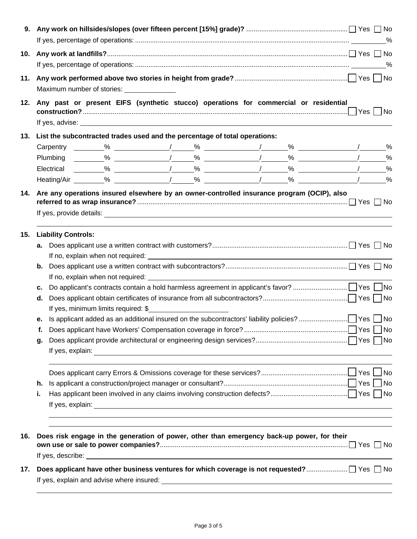|     | 9. Any work on hillsides/slopes (over fifteen percent [15%] grade)? …………………………………………………………… $\Box$ Yes $\Box$ No                                                                                                                           |               |  |  |  |  |  |  |  |
|-----|--------------------------------------------------------------------------------------------------------------------------------------------------------------------------------------------------------------------------------------------|---------------|--|--|--|--|--|--|--|
| 10. |                                                                                                                                                                                                                                            |               |  |  |  |  |  |  |  |
| 11. | Maximum number of stories: _______________                                                                                                                                                                                                 |               |  |  |  |  |  |  |  |
| 12. | Any past or present EIFS (synthetic stucco) operations for commercial or residential                                                                                                                                                       |               |  |  |  |  |  |  |  |
|     | 13. List the subcontracted trades used and the percentage of total operations:                                                                                                                                                             |               |  |  |  |  |  |  |  |
|     |                                                                                                                                                                                                                                            |               |  |  |  |  |  |  |  |
|     |                                                                                                                                                                                                                                            | $\%$          |  |  |  |  |  |  |  |
|     |                                                                                                                                                                                                                                            | $\frac{0}{0}$ |  |  |  |  |  |  |  |
|     |                                                                                                                                                                                                                                            |               |  |  |  |  |  |  |  |
|     |                                                                                                                                                                                                                                            |               |  |  |  |  |  |  |  |
| 15. | <b>Liability Controls:</b>                                                                                                                                                                                                                 |               |  |  |  |  |  |  |  |
|     |                                                                                                                                                                                                                                            |               |  |  |  |  |  |  |  |
|     |                                                                                                                                                                                                                                            |               |  |  |  |  |  |  |  |
|     | b.<br>If no, explain when not required: <u>example and the set of the set of the set of the set of the set of the set of the set of the set of the set of the set of the set of the set of the set of the set of the set of the set of</u> |               |  |  |  |  |  |  |  |
|     | c.                                                                                                                                                                                                                                         |               |  |  |  |  |  |  |  |
|     | d.                                                                                                                                                                                                                                         |               |  |  |  |  |  |  |  |
|     | If yes, minimum limits required: \$                                                                                                                                                                                                        |               |  |  |  |  |  |  |  |
|     |                                                                                                                                                                                                                                            |               |  |  |  |  |  |  |  |
|     |                                                                                                                                                                                                                                            |               |  |  |  |  |  |  |  |
|     | g.                                                                                                                                                                                                                                         |               |  |  |  |  |  |  |  |
|     |                                                                                                                                                                                                                                            |               |  |  |  |  |  |  |  |
|     |                                                                                                                                                                                                                                            |               |  |  |  |  |  |  |  |
|     | h.                                                                                                                                                                                                                                         |               |  |  |  |  |  |  |  |
|     | j.                                                                                                                                                                                                                                         |               |  |  |  |  |  |  |  |
|     |                                                                                                                                                                                                                                            |               |  |  |  |  |  |  |  |
| 16. | Does risk engage in the generation of power, other than emergency back-up power, for their                                                                                                                                                 |               |  |  |  |  |  |  |  |
|     |                                                                                                                                                                                                                                            |               |  |  |  |  |  |  |  |
| 17. |                                                                                                                                                                                                                                            |               |  |  |  |  |  |  |  |
|     | If yes, explain and advise where insured: example and and advise the state of the state of the state of the state of the state of the state of the state of the state of the state of the state of the state of the state of t             |               |  |  |  |  |  |  |  |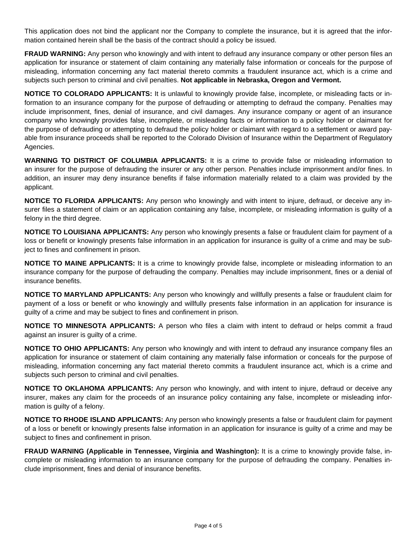This application does not bind the applicant nor the Company to complete the insurance, but it is agreed that the information contained herein shall be the basis of the contract should a policy be issued.

**FRAUD WARNING:** Any person who knowingly and with intent to defraud any insurance company or other person files an application for insurance or statement of claim containing any materially false information or conceals for the purpose of misleading, information concerning any fact material thereto commits a fraudulent insurance act, which is a crime and subjects such person to criminal and civil penalties. **Not applicable in Nebraska, Oregon and Vermont.**

**NOTICE TO COLORADO APPLICANTS:** It is unlawful to knowingly provide false, incomplete, or misleading facts or information to an insurance company for the purpose of defrauding or attempting to defraud the company. Penalties may include imprisonment, fines, denial of insurance, and civil damages. Any insurance company or agent of an insurance company who knowingly provides false, incomplete, or misleading facts or information to a policy holder or claimant for the purpose of defrauding or attempting to defraud the policy holder or claimant with regard to a settlement or award payable from insurance proceeds shall be reported to the Colorado Division of Insurance within the Department of Regulatory Agencies.

**WARNING TO DISTRICT OF COLUMBIA APPLICANTS:** It is a crime to provide false or misleading information to an insurer for the purpose of defrauding the insurer or any other person. Penalties include imprisonment and/or fines. In addition, an insurer may deny insurance benefits if false information materially related to a claim was provided by the applicant.

**NOTICE TO FLORIDA APPLICANTS:** Any person who knowingly and with intent to injure, defraud, or deceive any insurer files a statement of claim or an application containing any false, incomplete, or misleading information is guilty of a felony in the third degree.

**NOTICE TO LOUISIANA APPLICANTS:** Any person who knowingly presents a false or fraudulent claim for payment of a loss or benefit or knowingly presents false information in an application for insurance is guilty of a crime and may be subject to fines and confinement in prison.

**NOTICE TO MAINE APPLICANTS:** It is a crime to knowingly provide false, incomplete or misleading information to an insurance company for the purpose of defrauding the company. Penalties may include imprisonment, fines or a denial of insurance benefits.

**NOTICE TO MARYLAND APPLICANTS:** Any person who knowingly and willfully presents a false or fraudulent claim for payment of a loss or benefit or who knowingly and willfully presents false information in an application for insurance is guilty of a crime and may be subject to fines and confinement in prison.

**NOTICE TO MINNESOTA APPLICANTS:** A person who files a claim with intent to defraud or helps commit a fraud against an insurer is guilty of a crime.

**NOTICE TO OHIO APPLICANTS:** Any person who knowingly and with intent to defraud any insurance company files an application for insurance or statement of claim containing any materially false information or conceals for the purpose of misleading, information concerning any fact material thereto commits a fraudulent insurance act, which is a crime and subjects such person to criminal and civil penalties.

**NOTICE TO OKLAHOMA APPLICANTS:** Any person who knowingly, and with intent to injure, defraud or deceive any insurer, makes any claim for the proceeds of an insurance policy containing any false, incomplete or misleading information is guilty of a felony.

**NOTICE TO RHODE ISLAND APPLICANTS:** Any person who knowingly presents a false or fraudulent claim for payment of a loss or benefit or knowingly presents false information in an application for insurance is guilty of a crime and may be subject to fines and confinement in prison.

**FRAUD WARNING (Applicable in Tennessee, Virginia and Washington):** It is a crime to knowingly provide false, incomplete or misleading information to an insurance company for the purpose of defrauding the company. Penalties include imprisonment, fines and denial of insurance benefits.